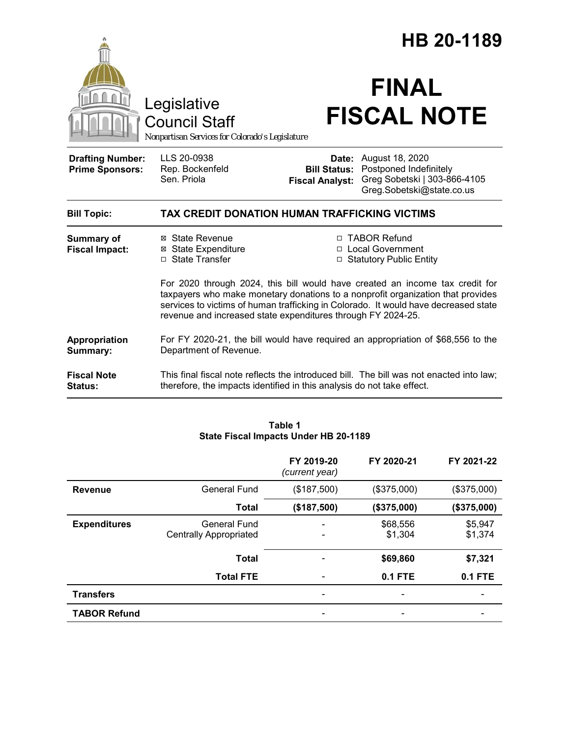|                                                                                        |                                                                                                                                                                                                                                                                                                                        | HB 20-1189                                    |                                                                                                                     |  |  |
|----------------------------------------------------------------------------------------|------------------------------------------------------------------------------------------------------------------------------------------------------------------------------------------------------------------------------------------------------------------------------------------------------------------------|-----------------------------------------------|---------------------------------------------------------------------------------------------------------------------|--|--|
| Legislative<br><b>Council Staff</b><br>Nonpartisan Services for Colorado's Legislature |                                                                                                                                                                                                                                                                                                                        | <b>FINAL</b><br><b>FISCAL NOTE</b>            |                                                                                                                     |  |  |
| <b>Drafting Number:</b><br><b>Prime Sponsors:</b>                                      | LLS 20-0938<br>Rep. Bockenfeld<br>Sen. Priola                                                                                                                                                                                                                                                                          | <b>Bill Status:</b><br><b>Fiscal Analyst:</b> | <b>Date:</b> August 18, 2020<br>Postponed Indefinitely<br>Greg Sobetski   303-866-4105<br>Greg.Sobetski@state.co.us |  |  |
| <b>Bill Topic:</b>                                                                     | TAX CREDIT DONATION HUMAN TRAFFICKING VICTIMS                                                                                                                                                                                                                                                                          |                                               |                                                                                                                     |  |  |
| Summary of<br><b>Fiscal Impact:</b>                                                    | ⊠ State Revenue<br><b>⊠ State Expenditure</b><br>□ State Transfer                                                                                                                                                                                                                                                      |                                               | □ TABOR Refund<br>□ Local Government<br>□ Statutory Public Entity                                                   |  |  |
|                                                                                        | For 2020 through 2024, this bill would have created an income tax credit for<br>taxpayers who make monetary donations to a nonprofit organization that provides<br>services to victims of human trafficking in Colorado. It would have decreased state<br>revenue and increased state expenditures through FY 2024-25. |                                               |                                                                                                                     |  |  |
| Appropriation<br>Summary:                                                              | For FY 2020-21, the bill would have required an appropriation of \$68,556 to the<br>Department of Revenue.                                                                                                                                                                                                             |                                               |                                                                                                                     |  |  |
| <b>Fiscal Note</b><br>Status:                                                          | This final fiscal note reflects the introduced bill. The bill was not enacted into law;<br>therefore, the impacts identified in this analysis do not take effect.                                                                                                                                                      |                                               |                                                                                                                     |  |  |

|                     |                                                      | FY 2019-20<br>(current year) | FY 2020-21          | FY 2021-22         |
|---------------------|------------------------------------------------------|------------------------------|---------------------|--------------------|
| <b>Revenue</b>      | General Fund                                         | (\$187,500)                  | (\$375,000)         | (\$375,000)        |
|                     | <b>Total</b>                                         | (\$187,500)                  | (\$375,000)         | (\$375,000)        |
| <b>Expenditures</b> | <b>General Fund</b><br><b>Centrally Appropriated</b> |                              | \$68,556<br>\$1,304 | \$5,947<br>\$1,374 |
|                     | <b>Total</b>                                         |                              | \$69,860            | \$7,321            |
|                     | <b>Total FTE</b>                                     |                              | $0.1$ FTE           | <b>0.1 FTE</b>     |
| <b>Transfers</b>    |                                                      |                              |                     |                    |
| <b>TABOR Refund</b> |                                                      |                              |                     |                    |

### **Table 1 State Fiscal Impacts Under HB 20-1189**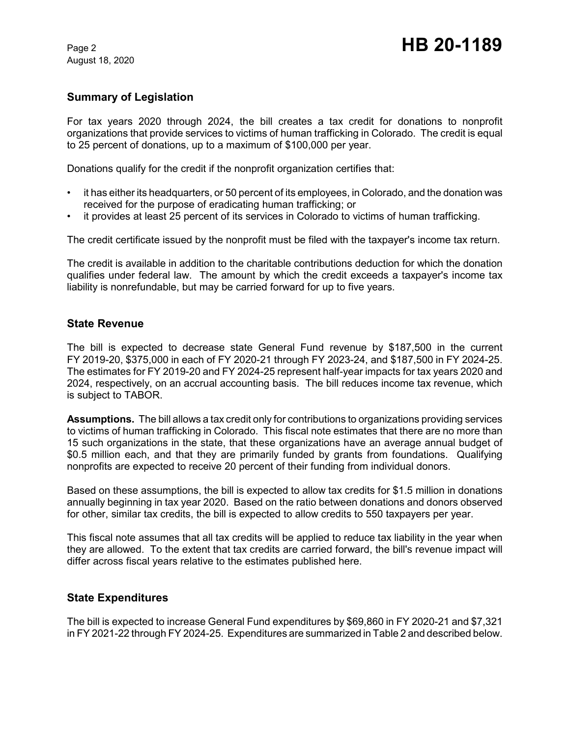August 18, 2020

## **Summary of Legislation**

For tax years 2020 through 2024, the bill creates a tax credit for donations to nonprofit organizations that provide services to victims of human trafficking in Colorado. The credit is equal to 25 percent of donations, up to a maximum of \$100,000 per year.

Donations qualify for the credit if the nonprofit organization certifies that:

- it has either its headquarters, or 50 percent of its employees, in Colorado, and the donation was received for the purpose of eradicating human trafficking; or
- it provides at least 25 percent of its services in Colorado to victims of human trafficking.

The credit certificate issued by the nonprofit must be filed with the taxpayer's income tax return.

The credit is available in addition to the charitable contributions deduction for which the donation qualifies under federal law. The amount by which the credit exceeds a taxpayer's income tax liability is nonrefundable, but may be carried forward for up to five years.

#### **State Revenue**

The bill is expected to decrease state General Fund revenue by \$187,500 in the current FY 2019-20, \$375,000 in each of FY 2020-21 through FY 2023-24, and \$187,500 in FY 2024-25. The estimates for FY 2019-20 and FY 2024-25 represent half-year impacts for tax years 2020 and 2024, respectively, on an accrual accounting basis. The bill reduces income tax revenue, which is subject to TABOR.

**Assumptions.** The bill allows a tax credit only for contributions to organizations providing services to victims of human trafficking in Colorado. This fiscal note estimates that there are no more than 15 such organizations in the state, that these organizations have an average annual budget of \$0.5 million each, and that they are primarily funded by grants from foundations. Qualifying nonprofits are expected to receive 20 percent of their funding from individual donors.

Based on these assumptions, the bill is expected to allow tax credits for \$1.5 million in donations annually beginning in tax year 2020. Based on the ratio between donations and donors observed for other, similar tax credits, the bill is expected to allow credits to 550 taxpayers per year.

This fiscal note assumes that all tax credits will be applied to reduce tax liability in the year when they are allowed. To the extent that tax credits are carried forward, the bill's revenue impact will differ across fiscal years relative to the estimates published here.

#### **State Expenditures**

The bill is expected to increase General Fund expenditures by \$69,860 in FY 2020-21 and \$7,321 in FY 2021-22 through FY 2024-25. Expenditures are summarized in Table 2 and described below.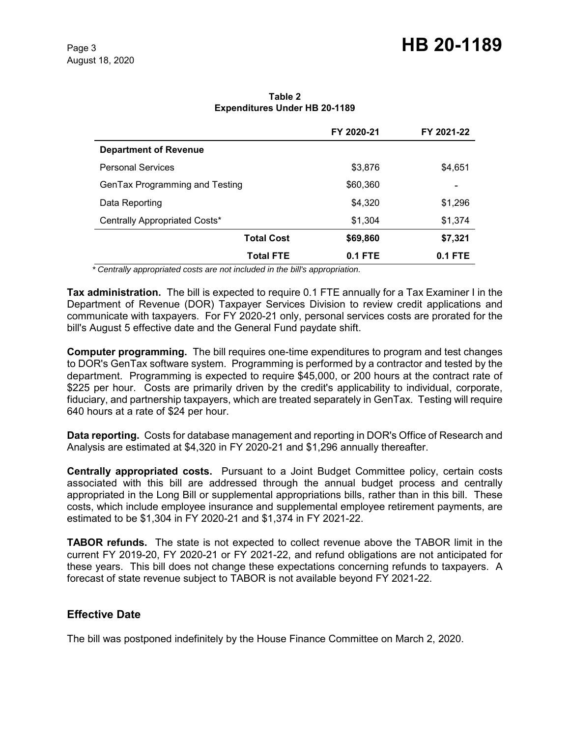|                                | FY 2020-21 | FY 2021-22 |
|--------------------------------|------------|------------|
| <b>Department of Revenue</b>   |            |            |
| <b>Personal Services</b>       | \$3,876    | \$4,651    |
| GenTax Programming and Testing | \$60,360   |            |
| Data Reporting                 | \$4,320    | \$1,296    |
| Centrally Appropriated Costs*  | \$1,304    | \$1,374    |
| <b>Total Cost</b>              | \$69,860   | \$7,321    |
| <b>Total FTE</b>               | $0.1$ FTE  | $0.1$ FTE  |

**Table 2 Expenditures Under HB 20-1189**

 *\* Centrally appropriated costs are not included in the bill's appropriation.*

**Tax administration.** The bill is expected to require 0.1 FTE annually for a Tax Examiner I in the Department of Revenue (DOR) Taxpayer Services Division to review credit applications and communicate with taxpayers. For FY 2020-21 only, personal services costs are prorated for the bill's August 5 effective date and the General Fund paydate shift.

**Computer programming.** The bill requires one-time expenditures to program and test changes to DOR's GenTax software system. Programming is performed by a contractor and tested by the department. Programming is expected to require \$45,000, or 200 hours at the contract rate of \$225 per hour. Costs are primarily driven by the credit's applicability to individual, corporate, fiduciary, and partnership taxpayers, which are treated separately in GenTax. Testing will require 640 hours at a rate of \$24 per hour.

**Data reporting.** Costs for database management and reporting in DOR's Office of Research and Analysis are estimated at \$4,320 in FY 2020-21 and \$1,296 annually thereafter.

**Centrally appropriated costs.** Pursuant to a Joint Budget Committee policy, certain costs associated with this bill are addressed through the annual budget process and centrally appropriated in the Long Bill or supplemental appropriations bills, rather than in this bill. These costs, which include employee insurance and supplemental employee retirement payments, are estimated to be \$1,304 in FY 2020-21 and \$1,374 in FY 2021-22.

**TABOR refunds.** The state is not expected to collect revenue above the TABOR limit in the current FY 2019-20, FY 2020-21 or FY 2021-22, and refund obligations are not anticipated for these years. This bill does not change these expectations concerning refunds to taxpayers. A forecast of state revenue subject to TABOR is not available beyond FY 2021-22.

#### **Effective Date**

The bill was postponed indefinitely by the House Finance Committee on March 2, 2020.